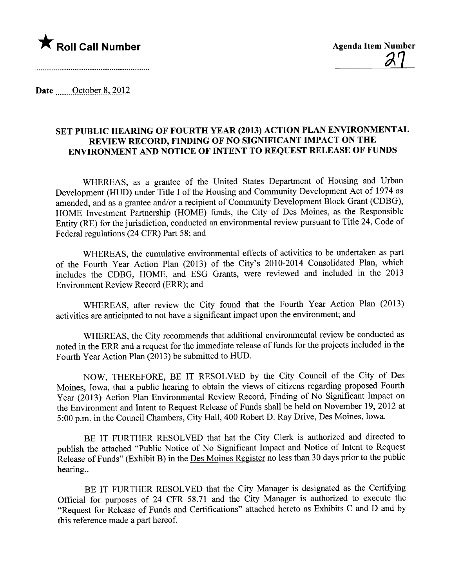

Date  $\frac{\text{October } 8, 2012}{\text{.}}$ 

## SET PUBLIC HEARING OF FOURTH YEAR (2013) ACTION PLAN ENVIRONMENTAL REVIEW RECORD, FINDING OF NO SIGNIFICANT IMPACT ON THE ENVIRONMENT AND NOTICE OF INTENT TO REQUEST RELEASE OF FUNDS

WHEREAS, as a grantee of the United States Department of Housing and Urban Development (HUD) under Title I of the Housing and Community Development Act of 1974 as amended, and as a grantee and/or a recipient of Community Development Block Grant (CDBG), HOME Investment Parnership (HOME) funds, the City of Des Moines, as the Responsible Entity (RE) for the jurisdiction, conducted an environmental review pursuant to Title 24, Code of Federal regulations (24 CFR) Part 58; and

WHEREAS, the cumulative environmental effects of activities to be undertaken as part of the Fourth Year Action Plan (2013) of the City's 2010-2014 Consolidated Plan, which includes the CDBG, HOME, and ESG Grants, were reviewed and included in the 2013 Environment Review Record (ERR); and

WHEREAS, after review the City found that the Fourh Year Action Plan (2013) activities are anticipated to not have a significant impact upon the environment; and

WHEREAS, the City recommends that additional environmental review be conducted as noted in the ERR and a request for the immediate release of funds for the projects included in the Fourh Year Action Plan (2013) be submitted to HUD.

NOW, THEREFORE, BE IT RESOLVED by the City Council of the City of Des Moines, Iowa, that a public hearing to obtain the views of citizens regarding proposed Fourh Year (2013) Action Plan Environmental Review Record, Finding of No Significant Impact on the Environment and Intent to Request Release of Funds shall be held on November 19, 2012 at 5:00 p.m. in the Council Chambers, City Hall, 400 Robert D. Ray Drive, Des Moines, Iowa.

BE IT FURTHER RESOLVED that hat the City Clerk is authorized and directed to publish the attached "Public Notice of No Significant Impact and Notice of Intent to Request Release of Funds" (Exhibit B) in the Des Moines Register no less than 30 days prior to the public hearing..

BE IT FURTHER RESOLVED that the City Manager is designated as the Certifying Official for purposes of 24 CFR 58.71 and the City Manager is authorized to execute the "Request for Release of Funds and Certifications" attached hereto as Exhibits C and D and by this reference made a part hereof.